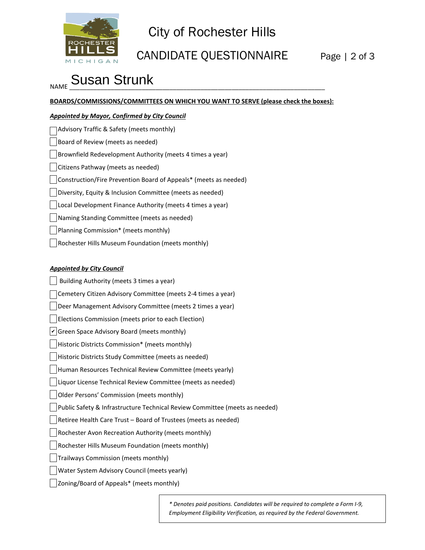

## City of Rochester Hills

### CANDIDATE QUESTIONNAIRE Page | 2 of 3

# <sub>NAME</sub> Susan Strunk<br>

**BOARDS/COMMISSIONS/COMMITTEES ON WHICH YOU WANT TO SERVE (please check the boxes):**

#### *Appointed by Mayor, Confirmed by City Council*

| Advisory Traffic & Safety (meets monthly)                        |
|------------------------------------------------------------------|
| Board of Review (meets as needed)                                |
| Brownfield Redevelopment Authority (meets 4 times a year)        |
| Citizens Pathway (meets as needed)                               |
| Construction/Fire Prevention Board of Appeals* (meets as needed) |
| Diversity, Equity & Inclusion Committee (meets as needed)        |
| Local Development Finance Authority (meets 4 times a year)       |
| Naming Standing Committee (meets as needed)                      |
| Planning Commission* (meets monthly)                             |
| Rochester Hills Museum Foundation (meets monthly)                |

#### *Appointed by City Council*

 Building Authority (meets 3 times a year) Cemetery Citizen Advisory Committee (meets 2-4 times a year) Deer Management Advisory Committee (meets 2 times a year) Elections Commission (meets prior to each Election)  $\nu$  Green Space Advisory Board (meets monthly) Historic Districts Commission\* (meets monthly) Historic Districts Study Committee (meets as needed) Human Resources Technical Review Committee (meets yearly) Liquor License Technical Review Committee (meets as needed) Older Persons' Commission (meets monthly) Public Safety & Infrastructure Technical Review Committee (meets as needed) Retiree Health Care Trust – Board of Trustees (meets as needed) Rochester Avon Recreation Authority (meets monthly) Rochester Hills Museum Foundation (meets monthly) Trailways Commission (meets monthly) Water System Advisory Council (meets yearly) Zoning/Board of Appeals\* (meets monthly)

> *\* Denotes paid positions. Candidates will be required to complete a Form I-9, Employment Eligibility Verification, as required by the Federal Government.*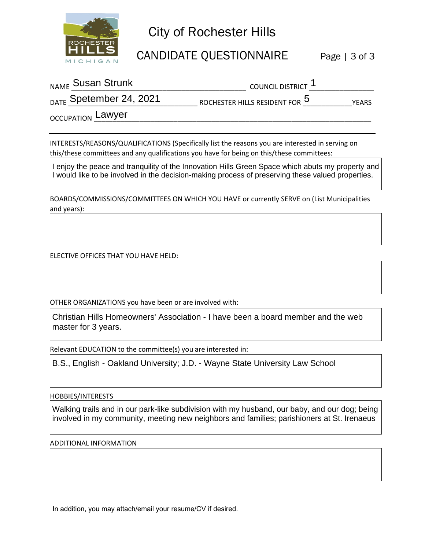

### City of Rochester Hills

CANDIDATE QUESTIONNAIRE Page | 3 of 3

| <sub>NAME</sub> Susan Strunk       | COUNCIL DISTRICT '             |              |
|------------------------------------|--------------------------------|--------------|
| <sub>DATE</sub> Spetember 24, 2021 | ROCHESTER HILLS RESIDENT FOR 5 | <b>YEARS</b> |

OCCUPATION \_\_\_\_\_\_\_\_\_\_\_\_\_\_\_\_\_\_\_\_\_\_\_\_\_\_\_\_\_\_\_\_\_\_\_\_\_\_\_\_\_\_\_\_\_\_\_\_\_\_\_\_\_\_\_\_\_\_\_\_\_\_\_\_\_\_\_\_\_\_\_\_\_ Lawyer

INTERESTS/REASONS/QUALIFICATIONS (Specifically list the reasons you are interested in serving on this/these committees and any qualifications you have for being on this/these committees:

I enjoy the peace and tranquility of the Innovation Hills Green Space which abuts my property and I would like to be involved in the decision-making process of preserving these valued properties.

BOARDS/COMMISSIONS/COMMITTEES ON WHICH YOU HAVE or currently SERVE on (List Municipalities and years):

ELECTIVE OFFICES THAT YOU HAVE HELD:

OTHER ORGANIZATIONS you have been or are involved with:

Christian Hills Homeowners' Association - I have been a board member and the web master for 3 years.

Relevant EDUCATION to the committee(s) you are interested in:

B.S., English - Oakland University; J.D. - Wayne State University Law School

HOBBIES/INTERESTS

Walking trails and in our park-like subdivision with my husband, our baby, and our dog; being involved in my community, meeting new neighbors and families; parishioners at St. Irenaeus

ADDITIONAL INFORMATION

In addition, you may attach/email your resume/CV if desired.